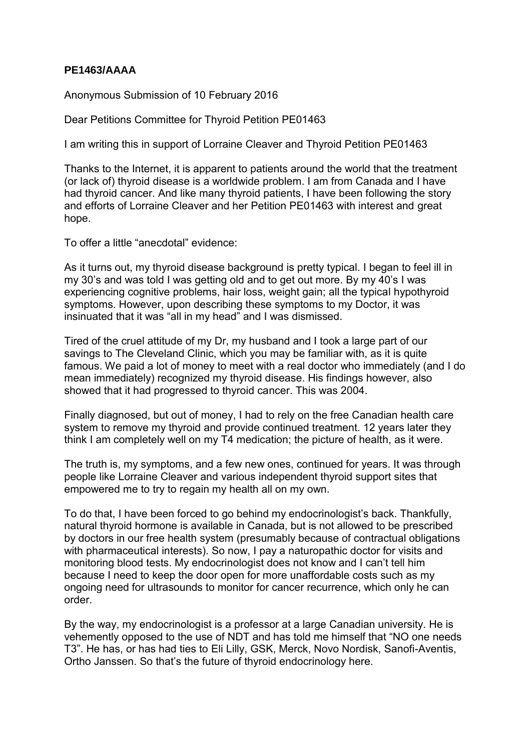## **PE1463/AAAA**

Anonymous Submission of 10 February 2016

Dear Petitions Committee for Thyroid Petition PE01463

I am writing this in support of Lorraine Cleaver and Thyroid Petition PE01463

Thanks to the Internet, it is apparent to patients around the world that the treatment (or lack of) thyroid disease is a worldwide problem. I am from Canada and I have had thyroid cancer. And like many thyroid patients, I have been following the story and efforts of Lorraine Cleaver and her Petition PE01463 with interest and great hope.

To offer a little "anecdotal" evidence:

As it turns out, my thyroid disease background is pretty typical. I began to feel ill in my 30's and was told I was getting old and to get out more. By my 40's I was experiencing cognitive problems, hair loss, weight gain; all the typical hypothyroid symptoms. However, upon describing these symptoms to my Doctor, it was insinuated that it was "all in my head" and I was dismissed.

Tired of the cruel attitude of my Dr, my husband and I took a large part of our savings to The Cleveland Clinic, which you may be familiar with, as it is quite famous. We paid a lot of money to meet with a real doctor who immediately (and I do mean immediately) recognized my thyroid disease. His findings however, also showed that it had progressed to thyroid cancer. This was 2004.

Finally diagnosed, but out of money, I had to rely on the free Canadian health care system to remove my thyroid and provide continued treatment. 12 years later they think I am completely well on my T4 medication; the picture of health, as it were.

The truth is, my symptoms, and a few new ones, continued for years. It was through people like Lorraine Cleaver and various independent thyroid support sites that empowered me to try to regain my health all on my own.

To do that, I have been forced to go behind my endocrinologist's back. Thankfully, natural thyroid hormone is available in Canada, but is not allowed to be prescribed by doctors in our free health system (presumably because of contractual obligations with pharmaceutical interests). So now, I pay a naturopathic doctor for visits and monitoring blood tests. My endocrinologist does not know and I can't tell him because I need to keep the door open for more unaffordable costs such as my ongoing need for ultrasounds to monitor for cancer recurrence, which only he can order.

By the way, my endocrinologist is a professor at a large Canadian university. He is vehemently opposed to the use of NDT and has told me himself that "NO one needs T3". He has, or has had ties to Eli Lilly, GSK, Merck, Novo Nordisk, Sanofi-Aventis, Ortho Janssen. So that's the future of thyroid endocrinology here.